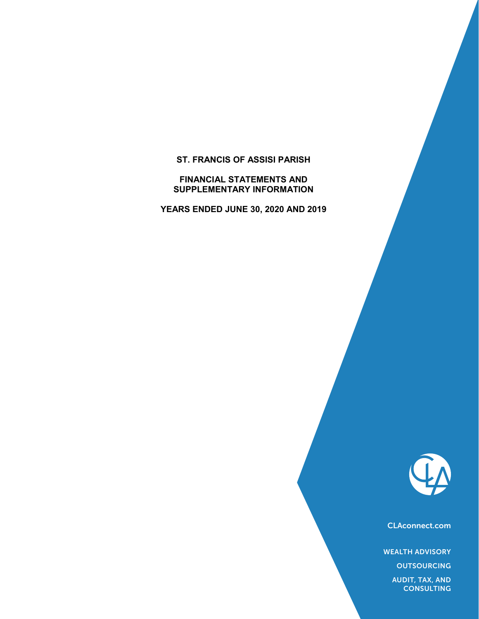# **ST. FRANCIS OF ASSISI PARISH**

#### **FINANCIAL STATEMENTS AND SUPPLEMENTARY INFORMATION**

**YEARS ENDED JUNE 30, 2020 AND 2019**



CLAconnect.com

WEALTH ADVISORY

**OUTSOURCING** 

AUDIT, TAX, AND **CONSULTING**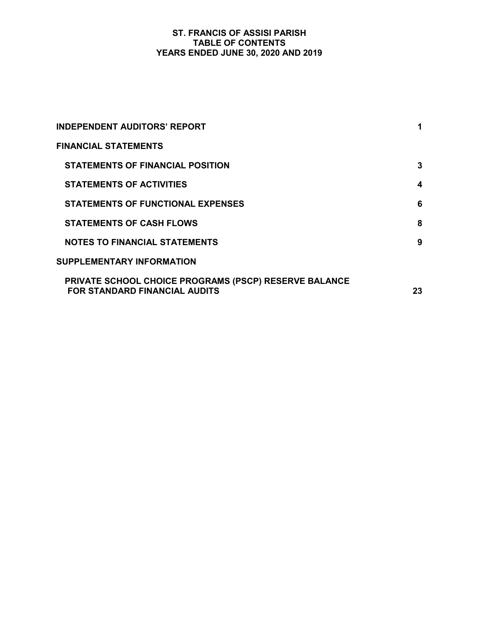## **ST. FRANCIS OF ASSISI PARISH TABLE OF CONTENTS YEARS ENDED JUNE 30, 2020 AND 2019**

| <b>INDEPENDENT AUDITORS' REPORT</b>                                                           | 1  |
|-----------------------------------------------------------------------------------------------|----|
| <b>FINANCIAL STATEMENTS</b>                                                                   |    |
| STATEMENTS OF FINANCIAL POSITION                                                              | 3  |
| <b>STATEMENTS OF ACTIVITIES</b>                                                               | 4  |
| <b>STATEMENTS OF FUNCTIONAL EXPENSES</b>                                                      | 6  |
| <b>STATEMENTS OF CASH FLOWS</b>                                                               | 8  |
| <b>NOTES TO FINANCIAL STATEMENTS</b>                                                          | 9  |
| <b>SUPPLEMENTARY INFORMATION</b>                                                              |    |
| PRIVATE SCHOOL CHOICE PROGRAMS (PSCP) RESERVE BALANCE<br><b>FOR STANDARD FINANCIAL AUDITS</b> | 23 |
|                                                                                               |    |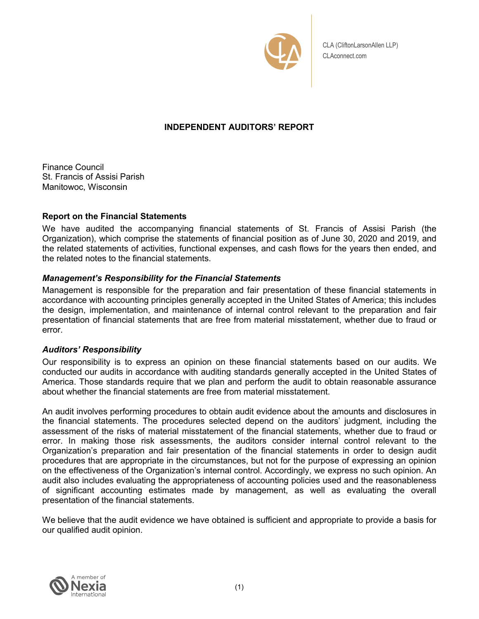

CLA (CliftonLarsonAllen LLP) CLAconnect.com

# **INDEPENDENT AUDITORS' REPORT**

Finance Council St. Francis of Assisi Parish Manitowoc, Wisconsin

# **Report on the Financial Statements**

We have audited the accompanying financial statements of St. Francis of Assisi Parish (the Organization), which comprise the statements of financial position as of June 30, 2020 and 2019, and the related statements of activities, functional expenses, and cash flows for the years then ended, and the related notes to the financial statements.

# *Management's Responsibility for the Financial Statements*

Management is responsible for the preparation and fair presentation of these financial statements in accordance with accounting principles generally accepted in the United States of America; this includes the design, implementation, and maintenance of internal control relevant to the preparation and fair presentation of financial statements that are free from material misstatement, whether due to fraud or error.

## *Auditors' Responsibility*

Our responsibility is to express an opinion on these financial statements based on our audits. We conducted our audits in accordance with auditing standards generally accepted in the United States of America. Those standards require that we plan and perform the audit to obtain reasonable assurance about whether the financial statements are free from material misstatement.

An audit involves performing procedures to obtain audit evidence about the amounts and disclosures in the financial statements. The procedures selected depend on the auditors' judgment, including the assessment of the risks of material misstatement of the financial statements, whether due to fraud or error. In making those risk assessments, the auditors consider internal control relevant to the Organization's preparation and fair presentation of the financial statements in order to design audit procedures that are appropriate in the circumstances, but not for the purpose of expressing an opinion on the effectiveness of the Organization's internal control. Accordingly, we express no such opinion. An audit also includes evaluating the appropriateness of accounting policies used and the reasonableness of significant accounting estimates made by management, as well as evaluating the overall presentation of the financial statements.

We believe that the audit evidence we have obtained is sufficient and appropriate to provide a basis for our qualified audit opinion.

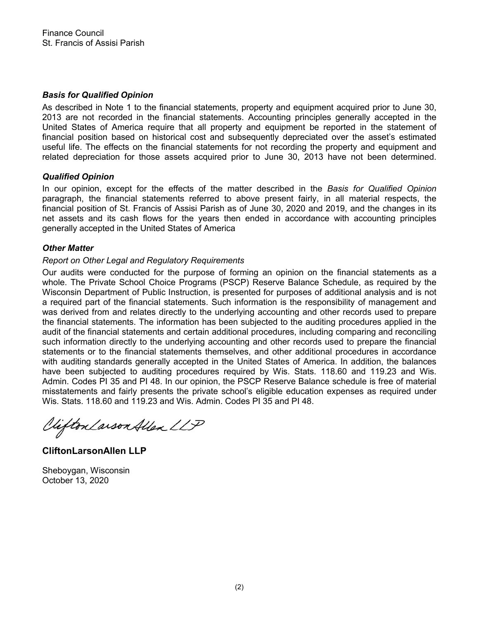## *Basis for Qualified Opinion*

As described in Note 1 to the financial statements, property and equipment acquired prior to June 30, 2013 are not recorded in the financial statements. Accounting principles generally accepted in the United States of America require that all property and equipment be reported in the statement of financial position based on historical cost and subsequently depreciated over the asset's estimated useful life. The effects on the financial statements for not recording the property and equipment and related depreciation for those assets acquired prior to June 30, 2013 have not been determined.

### *Qualified Opinion*

In our opinion, except for the effects of the matter described in the *Basis for Qualified Opinion*  paragraph, the financial statements referred to above present fairly, in all material respects, the financial position of St. Francis of Assisi Parish as of June 30, 2020 and 2019, and the changes in its net assets and its cash flows for the years then ended in accordance with accounting principles generally accepted in the United States of America

### *Other Matter*

## *Report on Other Legal and Regulatory Requirements*

Our audits were conducted for the purpose of forming an opinion on the financial statements as a whole. The Private School Choice Programs (PSCP) Reserve Balance Schedule, as required by the Wisconsin Department of Public Instruction, is presented for purposes of additional analysis and is not a required part of the financial statements. Such information is the responsibility of management and was derived from and relates directly to the underlying accounting and other records used to prepare the financial statements. The information has been subjected to the auditing procedures applied in the audit of the financial statements and certain additional procedures, including comparing and reconciling such information directly to the underlying accounting and other records used to prepare the financial statements or to the financial statements themselves, and other additional procedures in accordance with auditing standards generally accepted in the United States of America. In addition, the balances have been subjected to auditing procedures required by Wis. Stats. 118.60 and 119.23 and Wis. Admin. Codes PI 35 and PI 48. In our opinion, the PSCP Reserve Balance schedule is free of material misstatements and fairly presents the private school's eligible education expenses as required under Wis. Stats. 118.60 and 119.23 and Wis. Admin. Codes PI 35 and PI 48.

Viifton Larson Allen LLP

**CliftonLarsonAllen LLP**

Sheboygan, Wisconsin October 13, 2020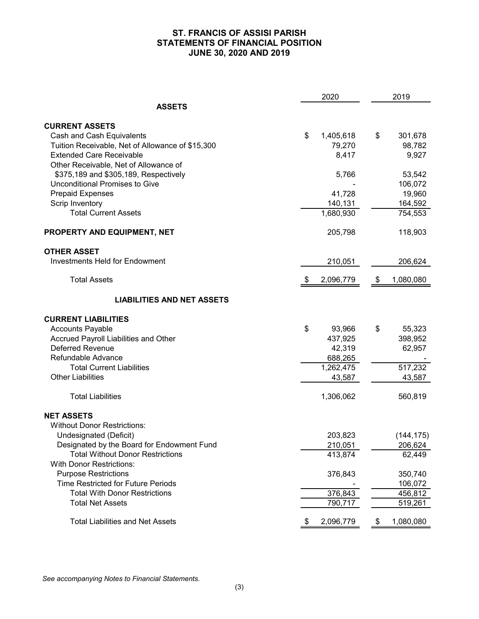## **ST. FRANCIS OF ASSISI PARISH STATEMENTS OF FINANCIAL POSITION JUNE 30, 2020 AND 2019**

|                                                                                   | 2020            | 2019               |
|-----------------------------------------------------------------------------------|-----------------|--------------------|
| <b>ASSETS</b>                                                                     |                 |                    |
| <b>CURRENT ASSETS</b>                                                             |                 |                    |
| Cash and Cash Equivalents                                                         | \$<br>1,405,618 | \$<br>301,678      |
| Tuition Receivable, Net of Allowance of \$15,300                                  | 79,270          | 98,782             |
| <b>Extended Care Receivable</b>                                                   | 8,417           | 9,927              |
| Other Receivable, Net of Allowance of                                             |                 |                    |
| \$375,189 and \$305,189, Respectively                                             | 5,766           | 53,542             |
| Unconditional Promises to Give                                                    |                 | 106,072            |
| <b>Prepaid Expenses</b>                                                           | 41,728          | 19,960             |
| Scrip Inventory<br><b>Total Current Assets</b>                                    | 140,131         | 164,592            |
|                                                                                   | 1,680,930       | 754,553            |
| PROPERTY AND EQUIPMENT, NET                                                       | 205,798         | 118,903            |
| <b>OTHER ASSET</b>                                                                |                 |                    |
| <b>Investments Held for Endowment</b>                                             | 210,051         | 206,624            |
| <b>Total Assets</b>                                                               | 2,096,779<br>P. | 1,080,080<br>\$    |
| <b>LIABILITIES AND NET ASSETS</b>                                                 |                 |                    |
| <b>CURRENT LIABILITIES</b>                                                        |                 |                    |
| <b>Accounts Payable</b>                                                           | \$<br>93,966    | \$<br>55,323       |
| Accrued Payroll Liabilities and Other                                             | 437,925         | 398,952            |
| <b>Deferred Revenue</b>                                                           | 42,319          | 62,957             |
| Refundable Advance                                                                | 688,265         |                    |
| <b>Total Current Liabilities</b>                                                  | 1,262,475       | 517,232            |
| <b>Other Liabilities</b>                                                          | 43,587          | 43,587             |
| <b>Total Liabilities</b>                                                          | 1,306,062       | 560,819            |
| <b>NET ASSETS</b>                                                                 |                 |                    |
| <b>Without Donor Restrictions:</b>                                                |                 |                    |
| Undesignated (Deficit)                                                            | 203,823         | (144, 175)         |
| Designated by the Board for Endowment Fund                                        | 210,051         | 206,624            |
| <b>Total Without Donor Restrictions</b>                                           | 413,874         | 62,449             |
| <b>With Donor Restrictions:</b>                                                   |                 |                    |
| <b>Purpose Restrictions</b>                                                       | 376,843         | 350,740            |
| <b>Time Restricted for Future Periods</b><br><b>Total With Donor Restrictions</b> | 376,843         | 106,072            |
| <b>Total Net Assets</b>                                                           | 790,717         | 456,812<br>519,261 |
|                                                                                   |                 |                    |
| <b>Total Liabilities and Net Assets</b>                                           | 2,096,779<br>\$ | \$<br>1,080,080    |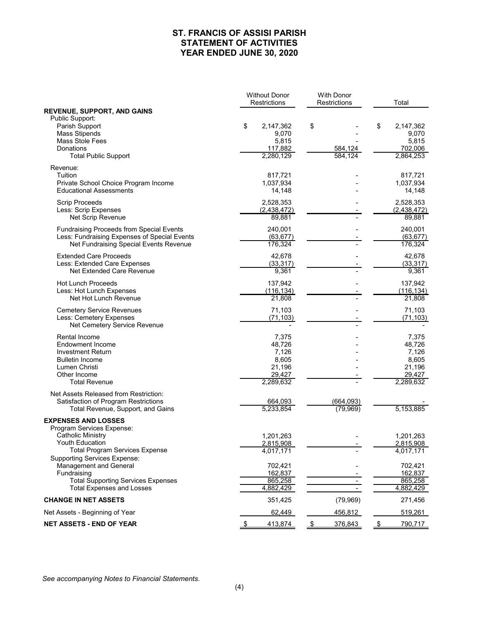### **ST. FRANCIS OF ASSISI PARISH STATEMENT OF ACTIVITIES YEAR ENDED JUNE 30, 2020**

|                                                                              | <b>Without Donor</b><br>Restrictions |               | With Donor<br>Restrictions |    | Total                       |  |  |
|------------------------------------------------------------------------------|--------------------------------------|---------------|----------------------------|----|-----------------------------|--|--|
| <b>REVENUE, SUPPORT, AND GAINS</b>                                           |                                      |               |                            |    |                             |  |  |
| Public Support:<br>Parish Support<br><b>Mass Stipends</b><br>Mass Stole Fees | \$<br>2,147,362<br>9,070<br>5,815    | \$            |                            | \$ | 2,147,362<br>9,070<br>5,815 |  |  |
| Donations                                                                    |                                      |               |                            |    |                             |  |  |
|                                                                              | 117,882                              |               | 584,124                    |    | 702,006                     |  |  |
| <b>Total Public Support</b>                                                  | 2,280,129                            |               | 584,124                    |    | 2,864,253                   |  |  |
| Revenue:                                                                     |                                      |               |                            |    |                             |  |  |
| Tuition                                                                      | 817,721                              |               |                            |    | 817,721                     |  |  |
| Private School Choice Program Income                                         | 1,037,934                            |               |                            |    | 1,037,934                   |  |  |
| <b>Educational Assessments</b>                                               | 14,148                               |               |                            |    | 14,148                      |  |  |
|                                                                              |                                      |               |                            |    |                             |  |  |
| <b>Scrip Proceeds</b>                                                        | 2,528,353                            |               |                            |    | 2,528,353                   |  |  |
| Less: Scrip Expenses                                                         | (2,438,472)                          |               |                            |    | (2,438,472)                 |  |  |
| Net Scrip Revenue                                                            | 89,881                               |               |                            |    | 89,881                      |  |  |
| Fundraising Proceeds from Special Events                                     | 240,001                              |               |                            |    | 240,001                     |  |  |
| Less: Fundraising Expenses of Special Events                                 | (63, 677)                            |               |                            |    | (63, 677)                   |  |  |
| Net Fundraising Special Events Revenue                                       | 176,324                              |               |                            |    | 176,324                     |  |  |
|                                                                              |                                      |               |                            |    |                             |  |  |
| <b>Extended Care Proceeds</b>                                                | 42,678                               |               |                            |    | 42,678                      |  |  |
| Less: Extended Care Expenses                                                 | (33, 317)                            |               |                            |    | (33, 317)                   |  |  |
| Net Extended Care Revenue                                                    | 9,361                                |               |                            |    | 9,361                       |  |  |
| <b>Hot Lunch Proceeds</b>                                                    | 137,942                              |               |                            |    | 137,942                     |  |  |
| Less: Hot Lunch Expenses                                                     | (116,134)                            |               |                            |    | (116, 134)                  |  |  |
| Net Hot Lunch Revenue                                                        | 21,808                               |               |                            |    | 21,808                      |  |  |
|                                                                              |                                      |               |                            |    |                             |  |  |
| <b>Cemetery Service Revenues</b>                                             | 71,103                               |               |                            |    | 71,103                      |  |  |
| Less: Cemetery Expenses                                                      | (71, 103)                            |               |                            |    | (71, 103)                   |  |  |
| Net Cemetery Service Revenue                                                 |                                      |               |                            |    |                             |  |  |
| Rental Income                                                                | 7,375                                |               |                            |    | 7,375                       |  |  |
| <b>Endowment Income</b>                                                      | 48,726                               |               |                            |    | 48,726                      |  |  |
| Investment Return                                                            | 7,126                                |               |                            |    | 7,126                       |  |  |
|                                                                              |                                      |               |                            |    |                             |  |  |
| <b>Bulletin Income</b>                                                       | 8,605                                |               |                            |    | 8,605                       |  |  |
| Lumen Christi                                                                | 21,196                               |               |                            |    | 21,196                      |  |  |
| Other Income                                                                 | 29,427                               |               |                            |    | 29,427                      |  |  |
| <b>Total Revenue</b>                                                         | 2,289,632                            |               |                            |    | 2,289,632                   |  |  |
| Net Assets Released from Restriction:                                        |                                      |               |                            |    |                             |  |  |
| <b>Satisfaction of Program Restrictions</b>                                  | 664,093                              |               | (664, 093)                 |    |                             |  |  |
| Total Revenue, Support, and Gains                                            | 5,233,854                            |               | (79,969)                   |    | 5,153,885                   |  |  |
| <b>EXPENSES AND LOSSES</b>                                                   |                                      |               |                            |    |                             |  |  |
| Program Services Expense:                                                    |                                      |               |                            |    |                             |  |  |
| Catholic Ministry                                                            | 1,201,263                            |               |                            |    | 1,201,263                   |  |  |
| Youth Education                                                              | 2,815,908                            |               |                            |    | 2,815,908                   |  |  |
| <b>Total Program Services Expense</b>                                        | 4,017,171                            |               |                            |    | 4,017,171                   |  |  |
| <b>Supporting Services Expense:</b>                                          |                                      |               |                            |    |                             |  |  |
| Management and General                                                       | 702,421                              |               |                            |    | 702,421                     |  |  |
| Fundraising                                                                  | 162,837                              |               |                            |    | 162,837                     |  |  |
| <b>Total Supporting Services Expenses</b>                                    | 865,258                              |               |                            |    | 865,258                     |  |  |
| <b>Total Expenses and Losses</b>                                             | 4,882,429                            |               |                            |    | 4,882,429                   |  |  |
| <b>CHANGE IN NET ASSETS</b>                                                  | 351,425                              |               | (79, 969)                  |    | 271,456                     |  |  |
| Net Assets - Beginning of Year                                               | 62,449                               |               | 456,812                    |    | 519,261                     |  |  |
| <b>NET ASSETS - END OF YEAR</b>                                              | \$<br>413,874                        | $\frac{1}{2}$ | 376,843                    | S  | 790,717                     |  |  |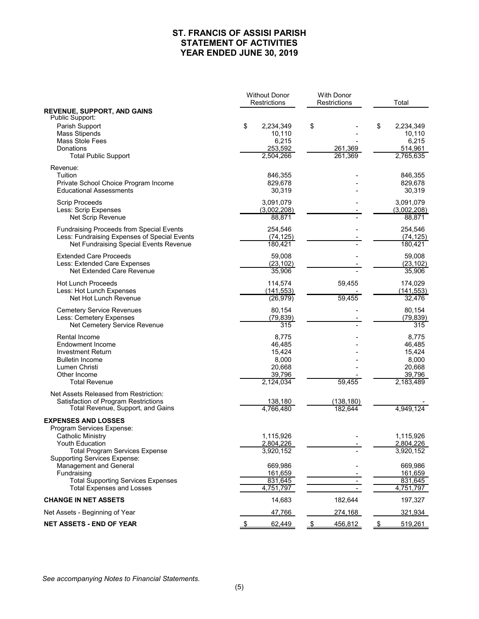### **ST. FRANCIS OF ASSISI PARISH STATEMENT OF ACTIVITIES YEAR ENDED JUNE 30, 2019**

|                                                                               | <b>Without Donor</b><br>Restrictions | With Donor<br>Restrictions |    | Total                |  |  |
|-------------------------------------------------------------------------------|--------------------------------------|----------------------------|----|----------------------|--|--|
| <b>REVENUE, SUPPORT, AND GAINS</b>                                            |                                      |                            |    |                      |  |  |
| Public Support:<br>Parish Support                                             | \$<br>2,234,349                      | \$                         | \$ | 2,234,349            |  |  |
| <b>Mass Stipends</b>                                                          | 10.110                               |                            |    | 10,110               |  |  |
| Mass Stole Fees                                                               | 6,215                                |                            |    | 6,215                |  |  |
| Donations                                                                     | 253,592                              | 261,369                    |    | 514,961              |  |  |
| <b>Total Public Support</b>                                                   | 2,504,266                            | 261,369                    |    | 2,765,635            |  |  |
| Revenue:                                                                      |                                      |                            |    |                      |  |  |
| Tuition                                                                       | 846,355                              |                            |    | 846,355              |  |  |
| Private School Choice Program Income                                          | 829,678                              |                            |    | 829,678              |  |  |
| <b>Educational Assessments</b>                                                | 30,319                               |                            |    | 30,319               |  |  |
| <b>Scrip Proceeds</b>                                                         | 3,091,079                            |                            |    | 3,091,079            |  |  |
| Less: Scrip Expenses                                                          | (3,002,208)                          |                            |    | (3,002,208)          |  |  |
| Net Scrip Revenue                                                             | 88,871                               |                            |    | 88,871               |  |  |
| Fundraising Proceeds from Special Events                                      | 254,546                              |                            |    | 254,546              |  |  |
| Less: Fundraising Expenses of Special Events                                  | (74, 125)                            |                            |    | (74, 125)            |  |  |
| Net Fundraising Special Events Revenue                                        | 180,421                              |                            |    | 180,421              |  |  |
| <b>Extended Care Proceeds</b>                                                 | 59,008                               |                            |    | 59,008               |  |  |
| Less: Extended Care Expenses                                                  | (23, 102)                            |                            |    | (23, 102)            |  |  |
| Net Extended Care Revenue                                                     | 35,906                               |                            |    | 35,906               |  |  |
| <b>Hot Lunch Proceeds</b>                                                     | 114,574                              | 59,455                     |    | 174,029              |  |  |
| Less: Hot Lunch Expenses                                                      | (141, 553)                           |                            |    | (141, 553)           |  |  |
| Net Hot Lunch Revenue                                                         | (26, 979)                            | 59,455                     |    | 32,476               |  |  |
| <b>Cemetery Service Revenues</b>                                              | 80,154                               |                            |    | 80,154               |  |  |
| Less: Cemetery Expenses                                                       | (79, 839)                            |                            |    | (79, 839)            |  |  |
| Net Cemetery Service Revenue                                                  | 315                                  |                            |    | 315                  |  |  |
| Rental Income                                                                 | 8,775                                |                            |    | 8,775                |  |  |
| Endowment Income                                                              | 46,485                               |                            |    | 46,485               |  |  |
| Investment Return                                                             | 15,424                               |                            |    | 15,424               |  |  |
| <b>Bulletin Income</b>                                                        | 8,000<br>20,668                      |                            |    | 8,000<br>20,668      |  |  |
| Lumen Christi<br>Other Income                                                 | 39,796                               |                            |    | 39,796               |  |  |
| <b>Total Revenue</b>                                                          | 2,124,034                            | 59,455                     |    | 2,183,489            |  |  |
|                                                                               |                                      |                            |    |                      |  |  |
| Net Assets Released from Restriction:<br>Satisfaction of Program Restrictions | 138,180                              | (138, 180)                 |    |                      |  |  |
| Total Revenue, Support, and Gains                                             | 4,766,480                            | 182,644                    |    | 4,949,124            |  |  |
| <b>EXPENSES AND LOSSES</b>                                                    |                                      |                            |    |                      |  |  |
| Program Services Expense:                                                     |                                      |                            |    |                      |  |  |
| Catholic Ministry                                                             | 1,115,926                            |                            |    | 1,115,926            |  |  |
| Youth Education                                                               | 2,804,226                            |                            |    | 2,804,226            |  |  |
| <b>Total Program Services Expense</b>                                         | 3,920,152                            |                            |    | 3,920,152            |  |  |
| <b>Supporting Services Expense:</b>                                           |                                      |                            |    |                      |  |  |
| Management and General                                                        | 669,986                              |                            |    | 669,986              |  |  |
| Fundraising                                                                   | 161,659                              |                            |    | 161,659              |  |  |
| <b>Total Supporting Services Expenses</b><br><b>Total Expenses and Losses</b> | 831,645<br>4,751,797                 |                            |    | 831,645<br>4,751,797 |  |  |
| <b>CHANGE IN NET ASSETS</b>                                                   | 14,683                               | 182,644                    |    | 197,327              |  |  |
| Net Assets - Beginning of Year                                                | 47,766                               | 274,168                    |    | 321,934              |  |  |
|                                                                               |                                      |                            |    |                      |  |  |
| <b>NET ASSETS - END OF YEAR</b>                                               | \$<br>62,449                         | \$<br>456,812              | S  | 519,261              |  |  |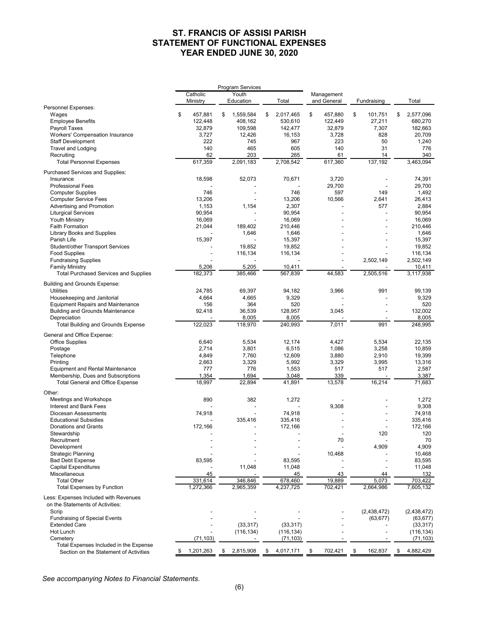## **ST. FRANCIS OF ASSISI PARISH STATEMENT OF FUNCTIONAL EXPENSES YEAR ENDED JUNE 30, 2020**

|                                                                                  |                      | <b>Program Services</b> |                  |    |                           |               |                  |
|----------------------------------------------------------------------------------|----------------------|-------------------------|------------------|----|---------------------------|---------------|------------------|
|                                                                                  | Catholic<br>Ministry | Youth<br>Education      | Total            |    | Management<br>and General | Fundraising   | Total            |
| Personnel Expenses:                                                              |                      |                         |                  |    |                           |               |                  |
| Wages                                                                            | \$<br>457,881        | \$<br>1,559,584         | \$<br>2,017,465  | \$ | 457,880                   | \$<br>101,751 | \$<br>2,577,096  |
| <b>Employee Benefits</b>                                                         | 122,448              | 408,162                 | 530,610          |    | 122,449                   | 27,211        | 680,270          |
| Payroll Taxes                                                                    | 32,879               | 109,598                 | 142,477          |    | 32,879                    | 7,307         | 182,663          |
| <b>Workers' Compensation Insurance</b>                                           | 3,727                | 12.426                  | 16,153           |    | 3,728                     | 828           | 20,709           |
| <b>Staff Development</b>                                                         | 222                  | 745                     | 967              |    | 223                       | 50            | 1,240            |
| <b>Travel and Lodging</b>                                                        | 140                  | 465                     | 605              |    | 140                       | 31            | 776              |
| Recruiting<br><b>Total Personnel Expenses</b>                                    | 62<br>617,359        | 203<br>2,091,183        | 265<br>2.708.542 |    | 61<br>617,360             | 14<br>137,192 | 340<br>3,463,094 |
| Purchased Services and Supplies:                                                 |                      |                         |                  |    |                           |               |                  |
| Insurance                                                                        | 18,598               | 52,073                  | 70,671           |    | 3,720                     |               | 74,391           |
| <b>Professional Fees</b>                                                         |                      |                         |                  |    | 29,700                    |               | 29,700           |
| <b>Computer Supplies</b>                                                         | 746                  |                         | 746              |    | 597                       | 149           | 1,492            |
| <b>Computer Service Fees</b>                                                     | 13,206               |                         | 13,206           |    | 10,566                    | 2,641         | 26,413           |
| Advertising and Promotion                                                        | 1,153                | 1,154                   | 2,307            |    |                           | 577           | 2,884            |
| <b>Liturgical Services</b>                                                       | 90,954               |                         | 90,954           |    |                           |               | 90,954           |
| <b>Youth Ministry</b>                                                            | 16,069               |                         | 16,069           |    |                           |               | 16,069           |
| <b>Faith Formation</b>                                                           | 21,044               | 189,402                 | 210,446          |    |                           |               | 210,446          |
| <b>Library Books and Supplies</b>                                                |                      | 1,646                   | 1,646            |    |                           |               | 1,646            |
| Parish Life                                                                      | 15,397               |                         | 15,397           |    |                           |               | 15,397           |
| <b>Student/other Transport Services</b>                                          |                      | 19,852                  | 19,852           |    |                           |               | 19,852           |
| <b>Food Supplies</b>                                                             |                      | 116,134                 | 116,134          |    |                           |               | 116,134          |
| <b>Fundraising Supplies</b>                                                      |                      |                         |                  |    |                           | 2,502,149     | 2,502,149        |
| <b>Family Ministry</b>                                                           | 5,206                | 5,205                   | 10,411           |    |                           |               | 10,411           |
| <b>Total Purchased Services and Supplies</b>                                     | 182,373              | 385,466                 | 567,839          |    | 44,583                    | 2,505,516     | 3,117,938        |
| Building and Grounds Expense:                                                    |                      |                         |                  |    |                           |               |                  |
| Utilities                                                                        | 24,785               | 69,397                  | 94,182           |    | 3,966                     | 991           | 99,139           |
| Housekeeping and Janitorial                                                      | 4,664                | 4,665                   | 9,329            |    |                           |               | 9,329            |
| <b>Equipment Repairs and Maintenance</b>                                         | 156                  | 364                     | 520              |    |                           |               | 520              |
| <b>Building and Grounds Maintenance</b>                                          | 92,418               | 36,539<br>8,005         | 128,957<br>8,005 |    | 3,045                     |               | 132,002          |
| Depreciation<br><b>Total Building and Grounds Expense</b>                        | 122,023              | 118,970                 | 240,993          |    | 7,011                     | 991           | 8,005<br>248,995 |
| General and Office Expense:                                                      |                      |                         |                  |    |                           |               |                  |
| <b>Office Supplies</b>                                                           | 6,640                | 5,534                   | 12,174           |    | 4,427                     | 5,534         | 22,135           |
| Postage                                                                          | 2,714                | 3,801                   | 6,515            |    | 1,086                     | 3,258         | 10,859           |
| Telephone                                                                        | 4,849                | 7,760                   | 12,609           |    | 3,880                     | 2,910         | 19,399           |
| Printing                                                                         | 2,663                | 3,329                   | 5,992            |    | 3,329                     | 3,995         | 13,316           |
| <b>Equipment and Rental Maintenance</b>                                          | 777                  | 776                     | 1,553            |    | 517                       | 517           | 2,587            |
| Membership, Dues and Subscriptions                                               | 1,354                | 1,694                   | 3,048            |    | 339                       |               | 3,387            |
| <b>Total General and Office Expense</b>                                          | 18,997               | 22,894                  | 41,891           |    | 13,578                    | 16,214        | 71,683           |
| Other:                                                                           |                      |                         |                  |    |                           |               |                  |
| Meetings and Workshops                                                           | 890                  | 382                     | 1,272            |    |                           |               | 1,272            |
| Interest and Bank Fees                                                           |                      |                         |                  |    | 9,308                     |               | 9,308            |
| Diocesan Assessments                                                             | 74,918               |                         | 74,918           |    |                           |               | 74,918           |
| <b>Educational Subsidies</b>                                                     |                      | 335,416                 | 335,416          |    |                           |               | 335,416          |
| Donations and Grants                                                             | 172,166              |                         | 172,166          |    |                           | ٠             | 172,166          |
| Stewardship                                                                      |                      |                         |                  |    |                           | 120           | 120              |
| Recruitment                                                                      |                      |                         |                  |    | 70                        |               | 70               |
| Development                                                                      |                      |                         |                  |    |                           | 4,909         | 4,909            |
| <b>Strategic Planning</b>                                                        |                      |                         |                  |    | 10,468                    |               | 10,468           |
| <b>Bad Debt Expense</b>                                                          | 83,595               |                         | 83,595           |    |                           |               | 83,595           |
| <b>Capital Expenditures</b>                                                      |                      | 11,048                  | 11,048           |    |                           |               | 11,048           |
| Miscellaneous                                                                    | 45                   |                         | 45               |    | 43                        | 44            | <u> 132 </u>     |
| <b>Total Other</b>                                                               | 331,614              | 346,846                 | 678,460          |    | 19,889                    | 5,073         | 703,422          |
| <b>Total Expenses by Function</b>                                                | 1,272,366            | 2,965,359               | 4,237,725        |    | 702,421                   | 2,664,986     | 7,605,132        |
| Less: Expenses Included with Revenues<br>on the Statements of Activities:        |                      |                         |                  |    |                           |               |                  |
| Scrip                                                                            |                      |                         |                  |    |                           | (2,438,472)   | (2,438,472)      |
| <b>Fundraising of Special Events</b>                                             |                      |                         |                  |    |                           | (63, 677)     | (63, 677)        |
| <b>Extended Care</b>                                                             |                      | (33, 317)               | (33, 317)        |    |                           |               | (33, 317)        |
| Hot Lunch                                                                        |                      | (116, 134)              | (116, 134)       |    |                           |               | (116, 134)       |
| Cemetery                                                                         | (71, 103)            |                         | (71, 103)        |    |                           |               | (71, 103)        |
| Total Expenses Included in the Expense<br>Section on the Statement of Activities | 1,201,263            | \$<br>2,815,908         | \$<br>4,017,171  | S  | 702,421                   | \$<br>162,837 | \$<br>4,882,429  |
|                                                                                  |                      |                         |                  |    |                           |               |                  |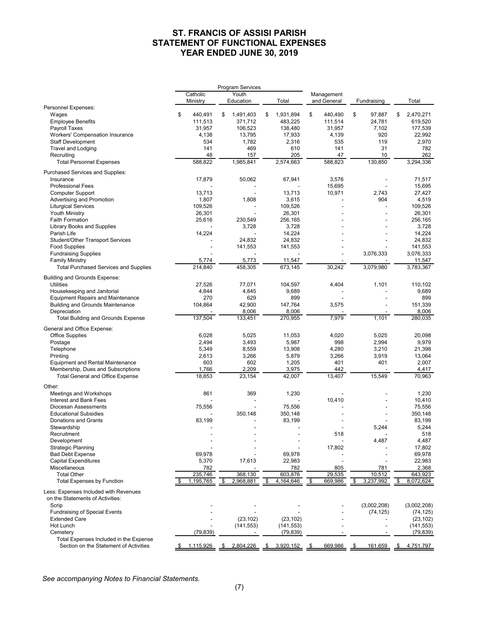### **ST. FRANCIS OF ASSISI PARISH STATEMENT OF FUNCTIONAL EXPENSES YEAR ENDED JUNE 30, 2019**

|                                                                                  |                  | Program Services |                   |                |               |                     |
|----------------------------------------------------------------------------------|------------------|------------------|-------------------|----------------|---------------|---------------------|
|                                                                                  | Catholic         | Youth            |                   | Management     |               |                     |
| Personnel Expenses:                                                              | Ministry         | Education        | Total             | and General    | Fundraising   | Total               |
| Wages                                                                            | \$<br>440,491    | 1,491,403<br>\$  | 1,931,894<br>\$   | \$<br>440,490  | \$<br>97,887  | 2,470,271<br>\$     |
| <b>Employee Benefits</b>                                                         | 111,513          | 371,712          | 483,225           | 111,514        | 24,781        | 619,520             |
| Payroll Taxes                                                                    | 31,957           | 106.523          | 138,480           | 31,957         | 7,102         | 177,539             |
| Workers' Compensation Insurance                                                  | 4,138            | 13,795           | 17,933            | 4,139          | 920           | 22,992              |
| <b>Staff Development</b>                                                         | 534              | 1,782            | 2,316             | 535            | 119           | 2,970               |
| <b>Travel and Lodging</b>                                                        | 141              | 469              | 610               | 141            | 31            | 782                 |
| Recruiting<br><b>Total Personnel Expenses</b>                                    | 48<br>588,822    | 157<br>1,985,841 | 205<br>2,574,663  | 47<br>588,823  | 10<br>130,850 | 262<br>3,294,336    |
|                                                                                  |                  |                  |                   |                |               |                     |
| Purchased Services and Supplies:<br>Insurance                                    | 17,879           | 50,062           | 67,941            | 3,576          |               | 71,517              |
| <b>Professional Fees</b>                                                         |                  |                  |                   | 15,695         |               | 15,695              |
| <b>Computer Support</b>                                                          | 13,713           |                  | 13,713            | 10,971         | 2,743         | 27,427              |
| Advertising and Promotion                                                        | 1,807            | 1,808            | 3,615             |                | 904           | 4,519               |
| <b>Liturgical Services</b>                                                       | 109,526          |                  | 109,526           |                |               | 109,526             |
| Youth Ministry                                                                   | 26,301           |                  | 26,301            |                |               | 26,301              |
| <b>Faith Formation</b>                                                           | 25,616           | 230,549          | 256,165           |                |               | 256,165             |
| <b>Library Books and Supplies</b>                                                |                  | 3,728            | 3,728             |                |               | 3,728               |
| Parish Life                                                                      | 14,224           |                  | 14,224            |                |               | 14,224              |
|                                                                                  |                  |                  |                   |                |               | 24,832              |
| <b>Student/Other Transport Services</b>                                          |                  | 24,832           | 24,832            |                |               |                     |
| <b>Food Supplies</b>                                                             |                  | 141,553          | 141,553           |                |               | 141,553             |
| <b>Fundraising Supplies</b>                                                      |                  |                  |                   |                | 3,076,333     | 3,076,333           |
| <b>Family Ministry</b><br><b>Total Purchased Services and Supplies</b>           | 5,774<br>214,840 | 5,773<br>458,305 | 11,547<br>673,145 | 30,242         | 3,079,980     | 11,547<br>3,783,367 |
|                                                                                  |                  |                  |                   |                |               |                     |
| Building and Grounds Expense:<br><b>Utilities</b>                                | 27,526           |                  |                   |                | 1,101         | 110,102             |
|                                                                                  |                  | 77,071           | 104,597           | 4,404          |               |                     |
| Housekeeping and Janitorial                                                      | 4,844            | 4,845            | 9,689             |                |               | 9,689               |
| <b>Equipment Repairs and Maintenance</b>                                         | 270              | 629              | 899               |                |               | 899                 |
| <b>Building and Grounds Maintenance</b>                                          | 104,864          | 42,900           | 147,764           | 3,575          |               | 151,339             |
| Depreciation<br><b>Total Building and Grounds Expense</b>                        | 137,504          | 8,006<br>133,451 | 8,006<br>270,955  | 7,979          | 1,101         | 8,006<br>280,035    |
| General and Office Expense:                                                      |                  |                  |                   |                |               |                     |
| <b>Office Supplies</b>                                                           | 6,028            | 5,025            | 11,053            | 4,020          | 5,025         | 20,098              |
| Postage                                                                          | 2,494            | 3,493            | 5,987             | 998            | 2,994         | 9,979               |
| Telephone                                                                        | 5,349            | 8,559            | 13,908            | 4,280          | 3,210         | 21,398              |
| Printing                                                                         | 2,613            | 3,266            | 5,879             | 3,266          | 3,919         | 13,064              |
| <b>Equipment and Rental Maintenance</b>                                          | 603              | 602              | 1,205             | 401            | 401           | 2,007               |
| Membership, Dues and Subscriptions                                               | 1,766            | 2,209            | 3,975             | 442            |               | 4,417               |
| <b>Total General and Office Expense</b>                                          | 18,853           | 23,154           | 42,007            | 13,407         | 15,549        | 70,963              |
| Other:                                                                           |                  |                  |                   |                |               |                     |
| Meetings and Workshops                                                           | 861              | 369              | 1,230             |                |               | 1,230               |
| Interest and Bank Fees                                                           |                  |                  |                   | 10,410         |               | 10,410              |
| Diocesan Assessments                                                             | 75,556           |                  | 75.556            |                |               | 75,556              |
| <b>Educational Subsidies</b>                                                     |                  | 350,148          | 350,148           |                |               | 350,148             |
| Donations and Grants                                                             | 83,199           |                  | 83,199            |                |               | 83,199              |
| Stewardship                                                                      |                  |                  |                   |                | 5,244         | 5,244               |
| Recruitment                                                                      |                  |                  |                   | 518            |               | 518                 |
| Development                                                                      |                  |                  |                   |                | 4,487         | 4,487               |
| <b>Strategic Planning</b>                                                        |                  |                  |                   | 17,802         |               | 17,802              |
| <b>Bad Debt Expense</b>                                                          | 69,978           |                  | 69,978            |                |               | 69,978              |
|                                                                                  |                  |                  |                   |                |               |                     |
| <b>Capital Expenditures</b>                                                      | 5,370            | 17,613           | 22,983            |                |               | 22,983              |
| Miscellaneous                                                                    | 782              |                  | 782               | 805            | 781           | 2,368               |
| <b>Total Other</b>                                                               | 235,746          | 368,130          | 603,876           | 29,535         | 10,512        | 643,923             |
| <b>Total Expenses by Function</b>                                                | .195.765         | 2.968.881        | 4.164.646         | 669.986<br>- 5 | 3.237.992     | 8.072.624           |
| Less: Expenses Included with Revenues                                            |                  |                  |                   |                |               |                     |
| on the Statements of Activities:                                                 |                  |                  |                   |                |               |                     |
| Scrip                                                                            |                  |                  |                   |                | (3,002,208)   | (3,002,208)         |
| <b>Fundraising of Special Events</b>                                             |                  |                  |                   |                | (74, 125)     | (74, 125)           |
| <b>Extended Care</b>                                                             |                  | (23, 102)        | (23, 102)         |                |               | (23, 102)           |
| Hot Lunch                                                                        |                  | (141, 553)       | (141, 553)        |                |               | (141, 553)          |
| Cemetery                                                                         | (79, 839)        |                  | (79, 839)         |                |               | (79, 839)           |
| Total Expenses Included in the Expense<br>Section on the Statement of Activities | 1,115,926<br>S   | 2,804,226        | 3,920,152         | 669,986<br>\$  | 161,659<br>\$ | 4,751,797<br>S      |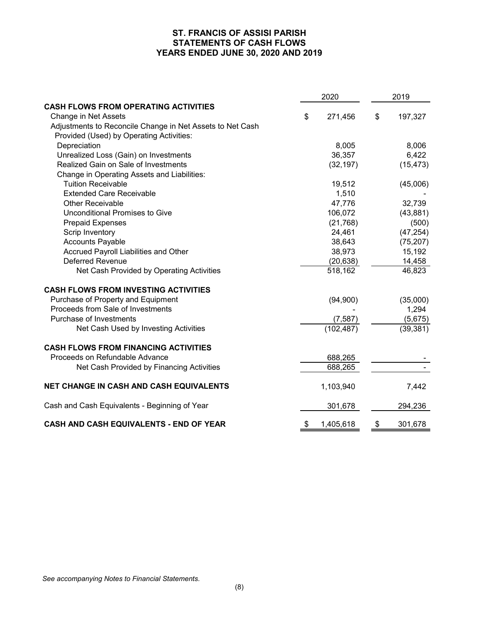## **ST. FRANCIS OF ASSISI PARISH STATEMENTS OF CASH FLOWS YEARS ENDED JUNE 30, 2020 AND 2019**

|                                                           | 2020            | 2019 |           |  |
|-----------------------------------------------------------|-----------------|------|-----------|--|
| <b>CASH FLOWS FROM OPERATING ACTIVITIES</b>               |                 |      |           |  |
| Change in Net Assets                                      | \$<br>271,456   | \$   | 197,327   |  |
| Adjustments to Reconcile Change in Net Assets to Net Cash |                 |      |           |  |
| Provided (Used) by Operating Activities:                  |                 |      |           |  |
| Depreciation                                              | 8,005           |      | 8,006     |  |
| Unrealized Loss (Gain) on Investments                     | 36,357          |      | 6,422     |  |
| Realized Gain on Sale of Investments                      | (32, 197)       |      | (15, 473) |  |
| Change in Operating Assets and Liabilities:               |                 |      |           |  |
| <b>Tuition Receivable</b>                                 | 19,512          |      | (45,006)  |  |
| <b>Extended Care Receivable</b>                           | 1,510           |      |           |  |
| <b>Other Receivable</b>                                   | 47,776          |      | 32,739    |  |
| <b>Unconditional Promises to Give</b>                     | 106,072         |      | (43, 881) |  |
| <b>Prepaid Expenses</b>                                   | (21, 768)       |      | (500)     |  |
| Scrip Inventory                                           | 24,461          |      | (47, 254) |  |
| <b>Accounts Payable</b>                                   | 38,643          |      | (75, 207) |  |
| Accrued Payroll Liabilities and Other                     | 38,973          |      | 15,192    |  |
| <b>Deferred Revenue</b>                                   | (20, 638)       |      | 14,458    |  |
| Net Cash Provided by Operating Activities                 | 518,162         |      | 46,823    |  |
| <b>CASH FLOWS FROM INVESTING ACTIVITIES</b>               |                 |      |           |  |
| Purchase of Property and Equipment                        | (94,900)        |      | (35,000)  |  |
| Proceeds from Sale of Investments                         |                 |      | 1,294     |  |
| Purchase of Investments                                   | (7, 587)        |      | (5,675)   |  |
| Net Cash Used by Investing Activities                     | (102, 487)      |      | (39, 381) |  |
| <b>CASH FLOWS FROM FINANCING ACTIVITIES</b>               |                 |      |           |  |
| Proceeds on Refundable Advance                            | 688,265         |      |           |  |
| Net Cash Provided by Financing Activities                 | 688,265         |      |           |  |
| NET CHANGE IN CASH AND CASH EQUIVALENTS                   | 1,103,940       |      | 7,442     |  |
| Cash and Cash Equivalents - Beginning of Year             | 301,678         |      | 294,236   |  |
| CASH AND CASH EQUIVALENTS - END OF YEAR                   | \$<br>1,405,618 | \$   | 301,678   |  |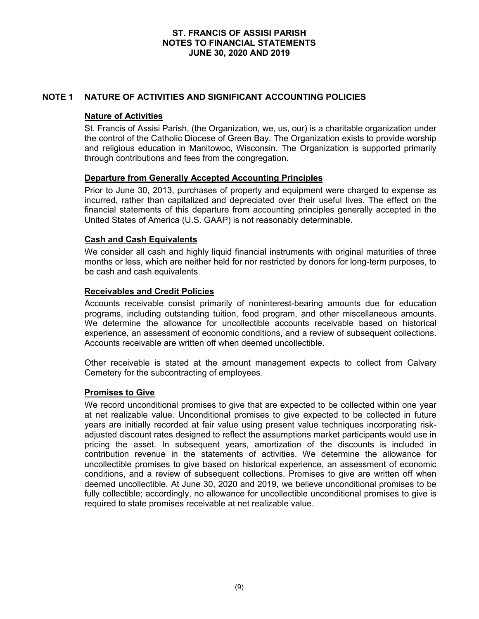## **NOTE 1 NATURE OF ACTIVITIES AND SIGNIFICANT ACCOUNTING POLICIES**

### **Nature of Activities**

St. Francis of Assisi Parish, (the Organization, we, us, our) is a charitable organization under the control of the Catholic Diocese of Green Bay. The Organization exists to provide worship and religious education in Manitowoc, Wisconsin. The Organization is supported primarily through contributions and fees from the congregation.

### **Departure from Generally Accepted Accounting Principles**

Prior to June 30, 2013, purchases of property and equipment were charged to expense as incurred, rather than capitalized and depreciated over their useful lives. The effect on the financial statements of this departure from accounting principles generally accepted in the United States of America (U.S. GAAP) is not reasonably determinable.

### **Cash and Cash Equivalents**

We consider all cash and highly liquid financial instruments with original maturities of three months or less, which are neither held for nor restricted by donors for long-term purposes, to be cash and cash equivalents.

### **Receivables and Credit Policies**

Accounts receivable consist primarily of noninterest-bearing amounts due for education programs, including outstanding tuition, food program, and other miscellaneous amounts. We determine the allowance for uncollectible accounts receivable based on historical experience, an assessment of economic conditions, and a review of subsequent collections. Accounts receivable are written off when deemed uncollectible.

Other receivable is stated at the amount management expects to collect from Calvary Cemetery for the subcontracting of employees.

## **Promises to Give**

We record unconditional promises to give that are expected to be collected within one year at net realizable value. Unconditional promises to give expected to be collected in future years are initially recorded at fair value using present value techniques incorporating riskadjusted discount rates designed to reflect the assumptions market participants would use in pricing the asset. In subsequent years, amortization of the discounts is included in contribution revenue in the statements of activities. We determine the allowance for uncollectible promises to give based on historical experience, an assessment of economic conditions, and a review of subsequent collections. Promises to give are written off when deemed uncollectible. At June 30, 2020 and 2019, we believe unconditional promises to be fully collectible; accordingly, no allowance for uncollectible unconditional promises to give is required to state promises receivable at net realizable value.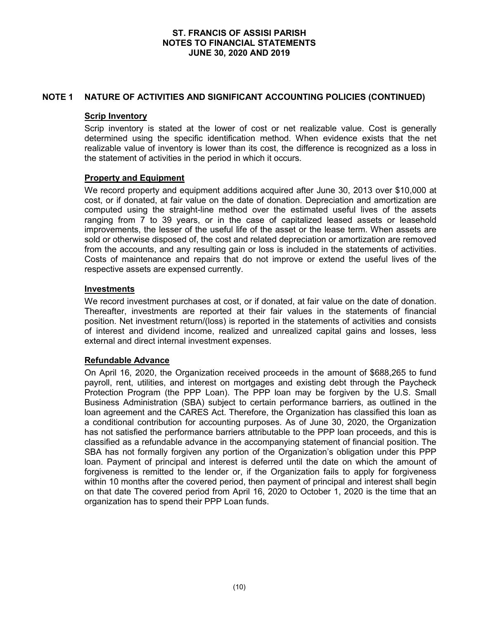## **NOTE 1 NATURE OF ACTIVITIES AND SIGNIFICANT ACCOUNTING POLICIES (CONTINUED)**

### **Scrip Inventory**

Scrip inventory is stated at the lower of cost or net realizable value. Cost is generally determined using the specific identification method. When evidence exists that the net realizable value of inventory is lower than its cost, the difference is recognized as a loss in the statement of activities in the period in which it occurs.

## **Property and Equipment**

We record property and equipment additions acquired after June 30, 2013 over \$10,000 at cost, or if donated, at fair value on the date of donation. Depreciation and amortization are computed using the straight-line method over the estimated useful lives of the assets ranging from 7 to 39 years, or in the case of capitalized leased assets or leasehold improvements, the lesser of the useful life of the asset or the lease term. When assets are sold or otherwise disposed of, the cost and related depreciation or amortization are removed from the accounts, and any resulting gain or loss is included in the statements of activities. Costs of maintenance and repairs that do not improve or extend the useful lives of the respective assets are expensed currently.

### **Investments**

We record investment purchases at cost, or if donated, at fair value on the date of donation. Thereafter, investments are reported at their fair values in the statements of financial position. Net investment return/(loss) is reported in the statements of activities and consists of interest and dividend income, realized and unrealized capital gains and losses, less external and direct internal investment expenses.

## **Refundable Advance**

On April 16, 2020, the Organization received proceeds in the amount of \$688,265 to fund payroll, rent, utilities, and interest on mortgages and existing debt through the Paycheck Protection Program (the PPP Loan). The PPP loan may be forgiven by the U.S. Small Business Administration (SBA) subject to certain performance barriers, as outlined in the loan agreement and the CARES Act. Therefore, the Organization has classified this loan as a conditional contribution for accounting purposes. As of June 30, 2020, the Organization has not satisfied the performance barriers attributable to the PPP loan proceeds, and this is classified as a refundable advance in the accompanying statement of financial position. The SBA has not formally forgiven any portion of the Organization's obligation under this PPP loan. Payment of principal and interest is deferred until the date on which the amount of forgiveness is remitted to the lender or, if the Organization fails to apply for forgiveness within 10 months after the covered period, then payment of principal and interest shall begin on that date The covered period from April 16, 2020 to October 1, 2020 is the time that an organization has to spend their PPP Loan funds.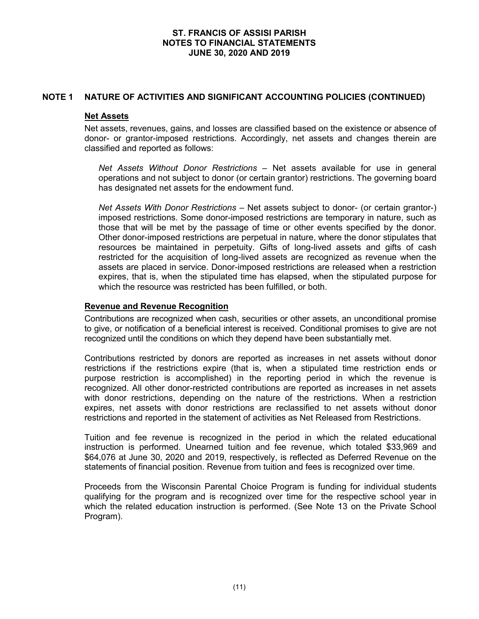## **NOTE 1 NATURE OF ACTIVITIES AND SIGNIFICANT ACCOUNTING POLICIES (CONTINUED)**

### **Net Assets**

Net assets, revenues, gains, and losses are classified based on the existence or absence of donor- or grantor-imposed restrictions. Accordingly, net assets and changes therein are classified and reported as follows:

*Net Assets Without Donor Restrictions* – Net assets available for use in general operations and not subject to donor (or certain grantor) restrictions. The governing board has designated net assets for the endowment fund.

*Net Assets With Donor Restrictions* – Net assets subject to donor- (or certain grantor-) imposed restrictions. Some donor-imposed restrictions are temporary in nature, such as those that will be met by the passage of time or other events specified by the donor. Other donor-imposed restrictions are perpetual in nature, where the donor stipulates that resources be maintained in perpetuity. Gifts of long-lived assets and gifts of cash restricted for the acquisition of long-lived assets are recognized as revenue when the assets are placed in service. Donor-imposed restrictions are released when a restriction expires, that is, when the stipulated time has elapsed, when the stipulated purpose for which the resource was restricted has been fulfilled, or both.

## **Revenue and Revenue Recognition**

Contributions are recognized when cash, securities or other assets, an unconditional promise to give, or notification of a beneficial interest is received. Conditional promises to give are not recognized until the conditions on which they depend have been substantially met.

Contributions restricted by donors are reported as increases in net assets without donor restrictions if the restrictions expire (that is, when a stipulated time restriction ends or purpose restriction is accomplished) in the reporting period in which the revenue is recognized. All other donor-restricted contributions are reported as increases in net assets with donor restrictions, depending on the nature of the restrictions. When a restriction expires, net assets with donor restrictions are reclassified to net assets without donor restrictions and reported in the statement of activities as Net Released from Restrictions.

Tuition and fee revenue is recognized in the period in which the related educational instruction is performed. Unearned tuition and fee revenue, which totaled \$33,969 and \$64,076 at June 30, 2020 and 2019, respectively, is reflected as Deferred Revenue on the statements of financial position. Revenue from tuition and fees is recognized over time.

Proceeds from the Wisconsin Parental Choice Program is funding for individual students qualifying for the program and is recognized over time for the respective school year in which the related education instruction is performed. (See Note 13 on the Private School Program).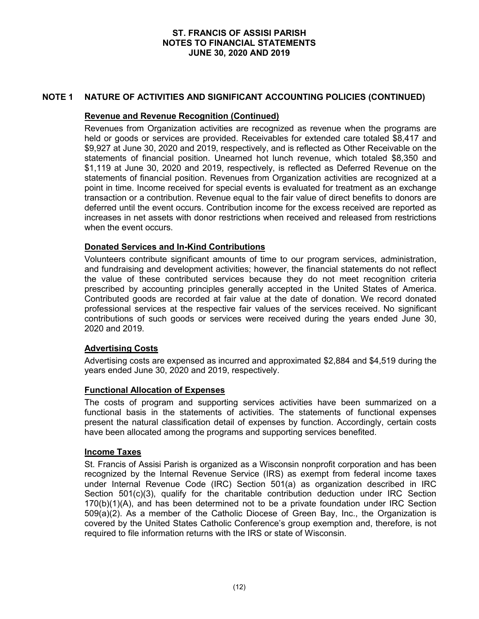# **NOTE 1 NATURE OF ACTIVITIES AND SIGNIFICANT ACCOUNTING POLICIES (CONTINUED)**

## **Revenue and Revenue Recognition (Continued)**

Revenues from Organization activities are recognized as revenue when the programs are held or goods or services are provided. Receivables for extended care totaled \$8,417 and \$9,927 at June 30, 2020 and 2019, respectively, and is reflected as Other Receivable on the statements of financial position. Unearned hot lunch revenue, which totaled \$8,350 and \$1,119 at June 30, 2020 and 2019, respectively, is reflected as Deferred Revenue on the statements of financial position. Revenues from Organization activities are recognized at a point in time. Income received for special events is evaluated for treatment as an exchange transaction or a contribution. Revenue equal to the fair value of direct benefits to donors are deferred until the event occurs. Contribution income for the excess received are reported as increases in net assets with donor restrictions when received and released from restrictions when the event occurs.

## **Donated Services and In-Kind Contributions**

Volunteers contribute significant amounts of time to our program services, administration, and fundraising and development activities; however, the financial statements do not reflect the value of these contributed services because they do not meet recognition criteria prescribed by accounting principles generally accepted in the United States of America. Contributed goods are recorded at fair value at the date of donation. We record donated professional services at the respective fair values of the services received. No significant contributions of such goods or services were received during the years ended June 30, 2020 and 2019.

## **Advertising Costs**

Advertising costs are expensed as incurred and approximated \$2,884 and \$4,519 during the years ended June 30, 2020 and 2019, respectively.

## **Functional Allocation of Expenses**

The costs of program and supporting services activities have been summarized on a functional basis in the statements of activities. The statements of functional expenses present the natural classification detail of expenses by function. Accordingly, certain costs have been allocated among the programs and supporting services benefited.

#### **Income Taxes**

St. Francis of Assisi Parish is organized as a Wisconsin nonprofit corporation and has been recognized by the Internal Revenue Service (IRS) as exempt from federal income taxes under Internal Revenue Code (IRC) Section 501(a) as organization described in IRC Section 501(c)(3), qualify for the charitable contribution deduction under IRC Section 170(b)(1)(A), and has been determined not to be a private foundation under IRC Section 509(a)(2). As a member of the Catholic Diocese of Green Bay, Inc., the Organization is covered by the United States Catholic Conference's group exemption and, therefore, is not required to file information returns with the IRS or state of Wisconsin.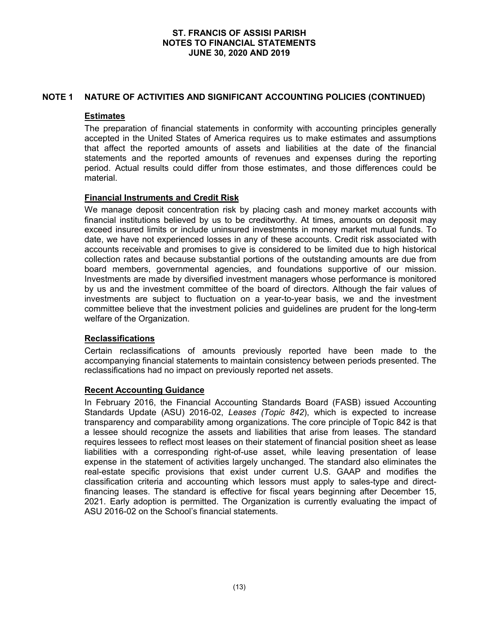# **NOTE 1 NATURE OF ACTIVITIES AND SIGNIFICANT ACCOUNTING POLICIES (CONTINUED)**

## **Estimates**

The preparation of financial statements in conformity with accounting principles generally accepted in the United States of America requires us to make estimates and assumptions that affect the reported amounts of assets and liabilities at the date of the financial statements and the reported amounts of revenues and expenses during the reporting period. Actual results could differ from those estimates, and those differences could be material.

## **Financial Instruments and Credit Risk**

We manage deposit concentration risk by placing cash and money market accounts with financial institutions believed by us to be creditworthy. At times, amounts on deposit may exceed insured limits or include uninsured investments in money market mutual funds. To date, we have not experienced losses in any of these accounts. Credit risk associated with accounts receivable and promises to give is considered to be limited due to high historical collection rates and because substantial portions of the outstanding amounts are due from board members, governmental agencies, and foundations supportive of our mission. Investments are made by diversified investment managers whose performance is monitored by us and the investment committee of the board of directors. Although the fair values of investments are subject to fluctuation on a year-to-year basis, we and the investment committee believe that the investment policies and guidelines are prudent for the long-term welfare of the Organization.

## **Reclassifications**

Certain reclassifications of amounts previously reported have been made to the accompanying financial statements to maintain consistency between periods presented. The reclassifications had no impact on previously reported net assets.

#### **Recent Accounting Guidance**

In February 2016, the Financial Accounting Standards Board (FASB) issued Accounting Standards Update (ASU) 2016-02, *Leases (Topic 842*), which is expected to increase transparency and comparability among organizations. The core principle of Topic 842 is that a lessee should recognize the assets and liabilities that arise from leases. The standard requires lessees to reflect most leases on their statement of financial position sheet as lease liabilities with a corresponding right-of-use asset, while leaving presentation of lease expense in the statement of activities largely unchanged. The standard also eliminates the real-estate specific provisions that exist under current U.S. GAAP and modifies the classification criteria and accounting which lessors must apply to sales-type and directfinancing leases. The standard is effective for fiscal years beginning after December 15, 2021. Early adoption is permitted. The Organization is currently evaluating the impact of ASU 2016-02 on the School's financial statements.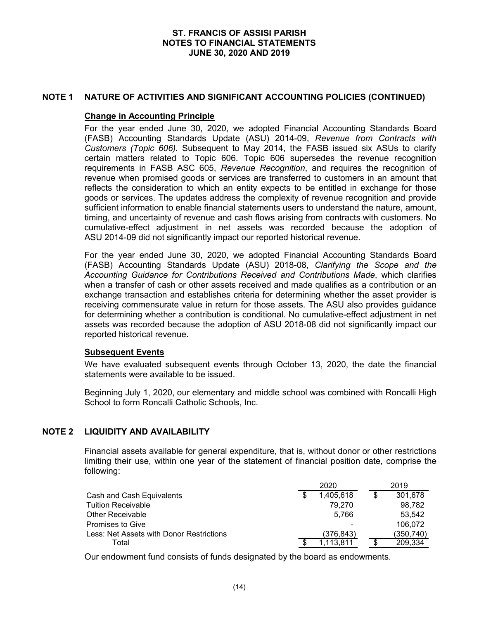## **NOTE 1 NATURE OF ACTIVITIES AND SIGNIFICANT ACCOUNTING POLICIES (CONTINUED)**

### **Change in Accounting Principle**

For the year ended June 30, 2020, we adopted Financial Accounting Standards Board (FASB) Accounting Standards Update (ASU) 2014-09, *Revenue from Contracts with Customers (Topic 606).* Subsequent to May 2014, the FASB issued six ASUs to clarify certain matters related to Topic 606. Topic 606 supersedes the revenue recognition requirements in FASB ASC 605, *Revenue Recognition*, and requires the recognition of revenue when promised goods or services are transferred to customers in an amount that reflects the consideration to which an entity expects to be entitled in exchange for those goods or services. The updates address the complexity of revenue recognition and provide sufficient information to enable financial statements users to understand the nature, amount, timing, and uncertainty of revenue and cash flows arising from contracts with customers. No cumulative-effect adjustment in net assets was recorded because the adoption of ASU 2014-09 did not significantly impact our reported historical revenue.

For the year ended June 30, 2020, we adopted Financial Accounting Standards Board (FASB) Accounting Standards Update (ASU) 2018-08, *Clarifying the Scope and the Accounting Guidance for Contributions Received and Contributions Made*, which clarifies when a transfer of cash or other assets received and made qualifies as a contribution or an exchange transaction and establishes criteria for determining whether the asset provider is receiving commensurate value in return for those assets. The ASU also provides guidance for determining whether a contribution is conditional. No cumulative-effect adjustment in net assets was recorded because the adoption of ASU 2018-08 did not significantly impact our reported historical revenue.

#### **Subsequent Events**

We have evaluated subsequent events through October 13, 2020, the date the financial statements were available to be issued.

Beginning July 1, 2020, our elementary and middle school was combined with Roncalli High School to form Roncalli Catholic Schools, Inc.

## **NOTE 2 LIQUIDITY AND AVAILABILITY**

Financial assets available for general expenditure, that is, without donor or other restrictions limiting their use, within one year of the statement of financial position date, comprise the following:

|                                          | 2020       | 2019      |
|------------------------------------------|------------|-----------|
| Cash and Cash Equivalents                | 1,405,618  | 301,678   |
| <b>Tuition Receivable</b>                | 79.270     | 98,782    |
| <b>Other Receivable</b>                  | 5.766      | 53.542    |
| <b>Promises to Give</b>                  |            | 106.072   |
| Less: Net Assets with Donor Restrictions | (376, 843) | (350,740) |
| Total                                    | 1,113,811  | 209.334   |

Our endowment fund consists of funds designated by the board as endowments.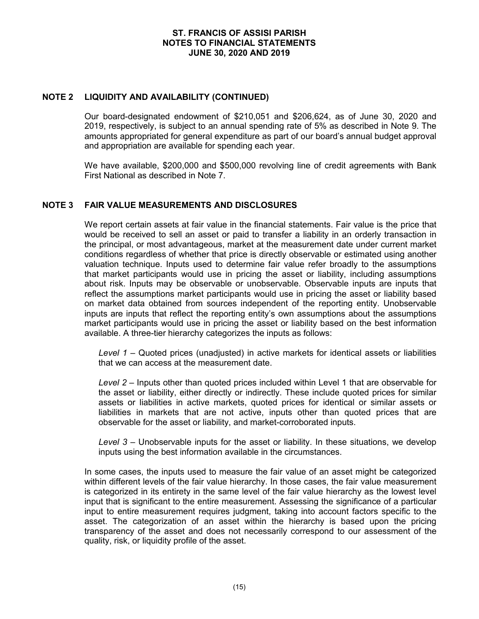## **NOTE 2 LIQUIDITY AND AVAILABILITY (CONTINUED)**

Our board-designated endowment of \$210,051 and \$206,624, as of June 30, 2020 and 2019, respectively, is subject to an annual spending rate of 5% as described in Note 9. The amounts appropriated for general expenditure as part of our board's annual budget approval and appropriation are available for spending each year.

We have available, \$200,000 and \$500,000 revolving line of credit agreements with Bank First National as described in Note 7.

### **NOTE 3 FAIR VALUE MEASUREMENTS AND DISCLOSURES**

We report certain assets at fair value in the financial statements. Fair value is the price that would be received to sell an asset or paid to transfer a liability in an orderly transaction in the principal, or most advantageous, market at the measurement date under current market conditions regardless of whether that price is directly observable or estimated using another valuation technique. Inputs used to determine fair value refer broadly to the assumptions that market participants would use in pricing the asset or liability, including assumptions about risk. Inputs may be observable or unobservable. Observable inputs are inputs that reflect the assumptions market participants would use in pricing the asset or liability based on market data obtained from sources independent of the reporting entity. Unobservable inputs are inputs that reflect the reporting entity's own assumptions about the assumptions market participants would use in pricing the asset or liability based on the best information available. A three-tier hierarchy categorizes the inputs as follows:

*Level 1* – Quoted prices (unadjusted) in active markets for identical assets or liabilities that we can access at the measurement date.

*Level 2* – Inputs other than quoted prices included within Level 1 that are observable for the asset or liability, either directly or indirectly. These include quoted prices for similar assets or liabilities in active markets, quoted prices for identical or similar assets or liabilities in markets that are not active, inputs other than quoted prices that are observable for the asset or liability, and market-corroborated inputs.

*Level 3* – Unobservable inputs for the asset or liability. In these situations, we develop inputs using the best information available in the circumstances.

In some cases, the inputs used to measure the fair value of an asset might be categorized within different levels of the fair value hierarchy. In those cases, the fair value measurement is categorized in its entirety in the same level of the fair value hierarchy as the lowest level input that is significant to the entire measurement. Assessing the significance of a particular input to entire measurement requires judgment, taking into account factors specific to the asset. The categorization of an asset within the hierarchy is based upon the pricing transparency of the asset and does not necessarily correspond to our assessment of the quality, risk, or liquidity profile of the asset.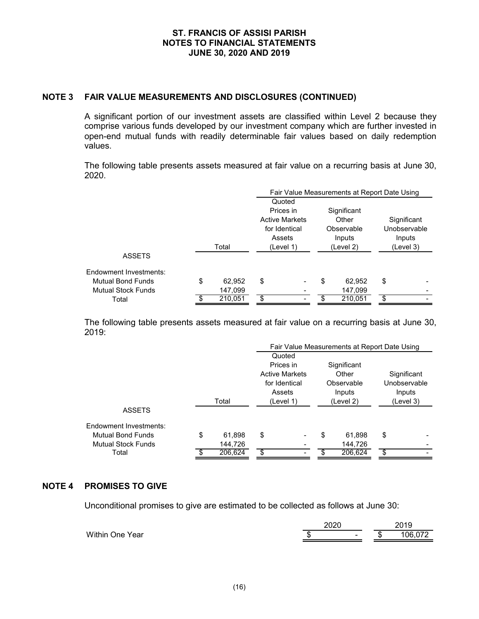## **NOTE 3 FAIR VALUE MEASUREMENTS AND DISCLOSURES (CONTINUED)**

A significant portion of our investment assets are classified within Level 2 because they comprise various funds developed by our investment company which are further invested in open-end mutual funds with readily determinable fair values based on daily redemption values.

The following table presents assets measured at fair value on a recurring basis at June 30, 2020.

|                           |              | Fair Value Measurements at Report Date Using |                       |    |                      |                        |  |  |
|---------------------------|--------------|----------------------------------------------|-----------------------|----|----------------------|------------------------|--|--|
|                           |              |                                              | Quoted                |    |                      |                        |  |  |
|                           |              |                                              | Prices in             |    | Significant          |                        |  |  |
|                           |              |                                              | <b>Active Markets</b> |    | Other                | Significant            |  |  |
|                           |              | Assets                                       | for Identical         |    | Observable<br>Inputs | Unobservable<br>Inputs |  |  |
|                           | Total        |                                              | (Level 1)             |    | (Level 2)            | (Level 3)              |  |  |
| <b>ASSETS</b>             |              |                                              |                       |    |                      |                        |  |  |
| Endowment Investments:    |              |                                              |                       |    |                      |                        |  |  |
| <b>Mutual Bond Funds</b>  | \$<br>62,952 | \$                                           |                       | \$ | 62.952               | \$                     |  |  |
| <b>Mutual Stock Funds</b> | 147,099      |                                              |                       |    | 147.099              |                        |  |  |
| Total                     | 210,051      | \$.                                          |                       |    | 210,051              | \$                     |  |  |

The following table presents assets measured at fair value on a recurring basis at June 30, 2019:

|                           |              | Fair Value Measurements at Report Date Using |                       |    |             |              |           |  |
|---------------------------|--------------|----------------------------------------------|-----------------------|----|-------------|--------------|-----------|--|
|                           |              |                                              | Quoted                |    |             |              |           |  |
|                           |              |                                              | Prices in             |    | Significant |              |           |  |
|                           |              |                                              | <b>Active Markets</b> |    | Other       | Significant  |           |  |
|                           |              |                                              | for Identical         |    | Observable  | Unobservable |           |  |
|                           |              | Assets                                       |                       |    | Inputs      | Inputs       |           |  |
|                           | Total        |                                              | (Level 1)             |    | (Level 2)   |              | (Level 3) |  |
| <b>ASSETS</b>             |              |                                              |                       |    |             |              |           |  |
| Endowment Investments:    |              |                                              |                       |    |             |              |           |  |
| <b>Mutual Bond Funds</b>  | \$<br>61,898 | \$                                           |                       | \$ | 61,898      | \$           |           |  |
| <b>Mutual Stock Funds</b> | 144,726      |                                              |                       |    | 144,726     |              |           |  |
| Total                     | 206,624      | \$                                           |                       |    | 206,624     | \$           |           |  |

## **NOTE 4 PROMISES TO GIVE**

Unconditional promises to give are estimated to be collected as follows at June 30:

|                 | 2020        |         | 2019 |
|-----------------|-------------|---------|------|
| Within One Year | œ<br>-<br>u | æ<br>۰D | na.  |
|                 |             |         |      |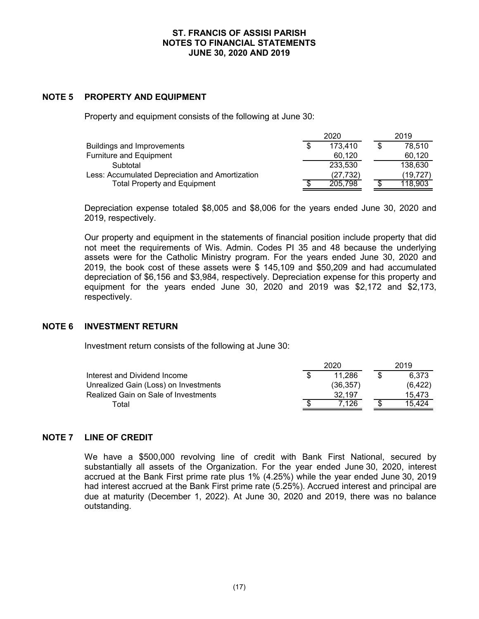### **NOTE 5 PROPERTY AND EQUIPMENT**

Property and equipment consists of the following at June 30:

|                                                 | 2020      | 2019     |
|-------------------------------------------------|-----------|----------|
| <b>Buildings and Improvements</b>               | 173,410   | 78.510   |
| <b>Furniture and Equipment</b>                  | 60.120    | 60.120   |
| Subtotal                                        | 233.530   | 138,630  |
| Less: Accumulated Depreciation and Amortization | (27, 732) | (19,727) |
| <b>Total Property and Equipment</b>             | 205,798   | 118.903  |

Depreciation expense totaled \$8,005 and \$8,006 for the years ended June 30, 2020 and 2019, respectively.

Our property and equipment in the statements of financial position include property that did not meet the requirements of Wis. Admin. Codes PI 35 and 48 because the underlying assets were for the Catholic Ministry program. For the years ended June 30, 2020 and 2019, the book cost of these assets were \$ 145,109 and \$50,209 and had accumulated depreciation of \$6,156 and \$3,984, respectively. Depreciation expense for this property and equipment for the years ended June 30, 2020 and 2019 was \$2,172 and \$2,173, respectively.

#### **NOTE 6 INVESTMENT RETURN**

Investment return consists of the following at June 30:

|                                       | 2020      | 2019 |          |  |
|---------------------------------------|-----------|------|----------|--|
| Interest and Dividend Income          | 11.286    |      | 6.373    |  |
| Unrealized Gain (Loss) on Investments | (36, 357) |      | (6, 422) |  |
| Realized Gain on Sale of Investments  | 32.197    |      | 15.473   |  |
| Total                                 | 7.126     |      | 15.424   |  |

#### **NOTE 7 LINE OF CREDIT**

We have a \$500,000 revolving line of credit with Bank First National, secured by substantially all assets of the Organization. For the year ended June 30, 2020, interest accrued at the Bank First prime rate plus 1% (4.25%) while the year ended June 30, 2019 had interest accrued at the Bank First prime rate (5.25%). Accrued interest and principal are due at maturity (December 1, 2022). At June 30, 2020 and 2019, there was no balance outstanding.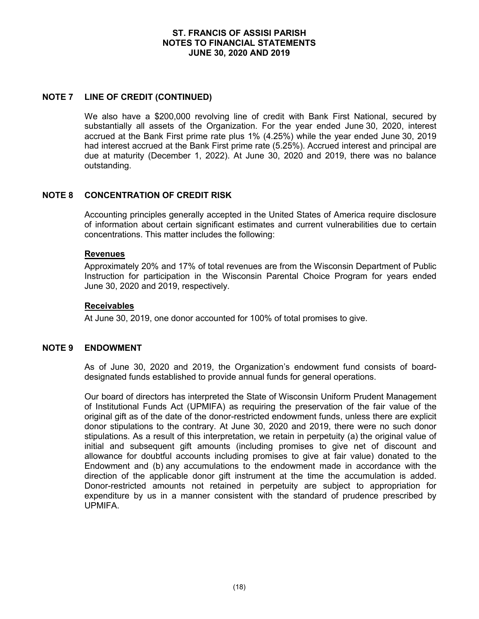## **NOTE 7 LINE OF CREDIT (CONTINUED)**

We also have a \$200,000 revolving line of credit with Bank First National, secured by substantially all assets of the Organization. For the year ended June 30, 2020, interest accrued at the Bank First prime rate plus 1% (4.25%) while the year ended June 30, 2019 had interest accrued at the Bank First prime rate (5.25%). Accrued interest and principal are due at maturity (December 1, 2022). At June 30, 2020 and 2019, there was no balance outstanding.

# **NOTE 8 CONCENTRATION OF CREDIT RISK**

Accounting principles generally accepted in the United States of America require disclosure of information about certain significant estimates and current vulnerabilities due to certain concentrations. This matter includes the following:

### **Revenues**

Approximately 20% and 17% of total revenues are from the Wisconsin Department of Public Instruction for participation in the Wisconsin Parental Choice Program for years ended June 30, 2020 and 2019, respectively.

### **Receivables**

At June 30, 2019, one donor accounted for 100% of total promises to give.

## **NOTE 9 ENDOWMENT**

As of June 30, 2020 and 2019, the Organization's endowment fund consists of boarddesignated funds established to provide annual funds for general operations.

Our board of directors has interpreted the State of Wisconsin Uniform Prudent Management of Institutional Funds Act (UPMIFA) as requiring the preservation of the fair value of the original gift as of the date of the donor-restricted endowment funds, unless there are explicit donor stipulations to the contrary. At June 30, 2020 and 2019, there were no such donor stipulations. As a result of this interpretation, we retain in perpetuity (a) the original value of initial and subsequent gift amounts (including promises to give net of discount and allowance for doubtful accounts including promises to give at fair value) donated to the Endowment and (b) any accumulations to the endowment made in accordance with the direction of the applicable donor gift instrument at the time the accumulation is added. Donor-restricted amounts not retained in perpetuity are subject to appropriation for expenditure by us in a manner consistent with the standard of prudence prescribed by UPMIFA.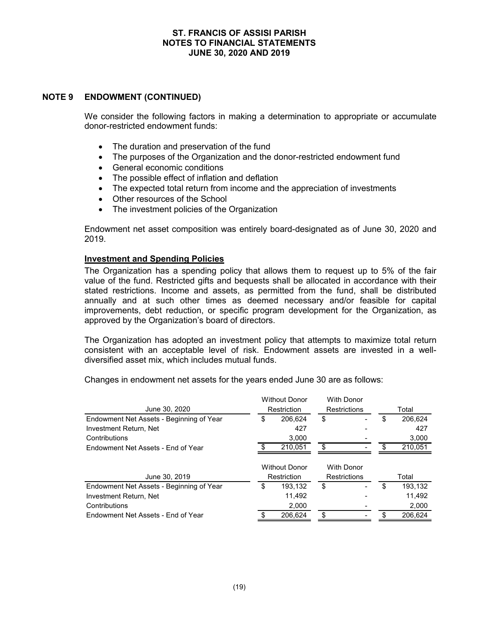## **NOTE 9 ENDOWMENT (CONTINUED)**

We consider the following factors in making a determination to appropriate or accumulate donor-restricted endowment funds:

- The duration and preservation of the fund
- The purposes of the Organization and the donor-restricted endowment fund
- General economic conditions
- The possible effect of inflation and deflation
- The expected total return from income and the appreciation of investments
- Other resources of the School
- The investment policies of the Organization

Endowment net asset composition was entirely board-designated as of June 30, 2020 and 2019.

### **Investment and Spending Policies**

The Organization has a spending policy that allows them to request up to 5% of the fair value of the fund. Restricted gifts and bequests shall be allocated in accordance with their stated restrictions. Income and assets, as permitted from the fund, shall be distributed annually and at such other times as deemed necessary and/or feasible for capital improvements, debt reduction, or specific program development for the Organization, as approved by the Organization's board of directors.

The Organization has adopted an investment policy that attempts to maximize total return consistent with an acceptable level of risk. Endowment assets are invested in a welldiversified asset mix, which includes mutual funds.

Changes in endowment net assets for the years ended June 30 are as follows:

|                                          |             | <b>Without Donor</b> |                     | <b>With Donor</b> |       |         |
|------------------------------------------|-------------|----------------------|---------------------|-------------------|-------|---------|
| June 30, 2020                            |             | Restriction          |                     | Restrictions      |       | Total   |
| Endowment Net Assets - Beginning of Year | \$          | 206.624              | \$                  |                   | \$    | 206.624 |
| Investment Return, Net                   |             | 427                  |                     |                   |       | 427     |
| Contributions                            |             | 3,000                |                     |                   |       | 3,000   |
| Endowment Net Assets - End of Year       |             | 210.051              | \$.                 |                   |       | 210,051 |
|                                          |             |                      |                     |                   |       |         |
|                                          |             | <b>Without Donor</b> |                     | <b>With Donor</b> |       |         |
| June 30, 2019                            | Restriction |                      | <b>Restrictions</b> |                   | Total |         |
| Endowment Net Assets - Beginning of Year | \$          | 193.132              | \$                  |                   | \$    | 193,132 |
| Investment Return, Net                   |             | 11,492               |                     |                   |       | 11,492  |
| Contributions                            |             | 2,000                |                     |                   |       | 2,000   |
| Endowment Net Assets - End of Year       |             | 206,624              |                     |                   |       | 206,624 |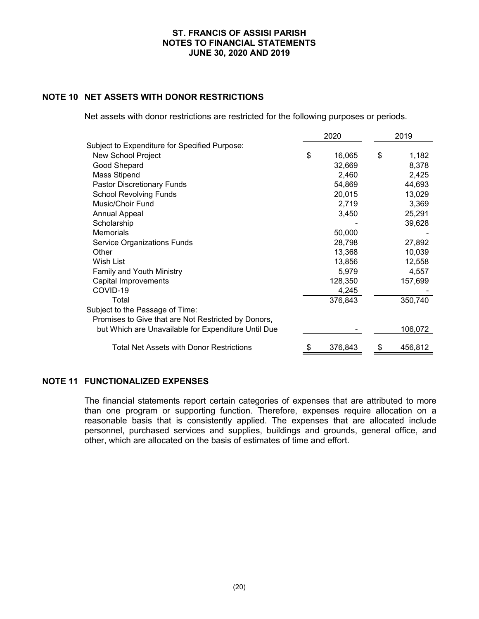## **NOTE 10 NET ASSETS WITH DONOR RESTRICTIONS**

Net assets with donor restrictions are restricted for the following purposes or periods.

|                                                     | 2020 |         | 2019 |         |
|-----------------------------------------------------|------|---------|------|---------|
| Subject to Expenditure for Specified Purpose:       |      |         |      |         |
| New School Project                                  | \$   | 16,065  | \$   | 1,182   |
| Good Shepard                                        |      | 32,669  |      | 8,378   |
| <b>Mass Stipend</b>                                 |      | 2,460   |      | 2,425   |
| <b>Pastor Discretionary Funds</b>                   |      | 54,869  |      | 44,693  |
| <b>School Revolving Funds</b>                       |      | 20,015  |      | 13,029  |
| Music/Choir Fund                                    |      | 2,719   |      | 3,369   |
| <b>Annual Appeal</b>                                |      | 3,450   |      | 25,291  |
| Scholarship                                         |      |         |      | 39,628  |
| <b>Memorials</b>                                    |      | 50,000  |      |         |
| Service Organizations Funds                         |      | 28,798  |      | 27,892  |
| Other                                               |      | 13,368  |      | 10,039  |
| Wish List                                           |      | 13,856  |      | 12,558  |
| <b>Family and Youth Ministry</b>                    |      | 5,979   |      | 4,557   |
| Capital Improvements                                |      | 128,350 |      | 157,699 |
| COVID-19                                            |      | 4,245   |      |         |
| Total                                               |      | 376,843 |      | 350,740 |
| Subject to the Passage of Time:                     |      |         |      |         |
| Promises to Give that are Not Restricted by Donors, |      |         |      |         |
| but Which are Unavailable for Expenditure Until Due |      |         |      | 106,072 |
| Total Net Assets with Donor Restrictions            | \$   | 376,843 | \$   | 456,812 |

### **NOTE 11 FUNCTIONALIZED EXPENSES**

The financial statements report certain categories of expenses that are attributed to more than one program or supporting function. Therefore, expenses require allocation on a reasonable basis that is consistently applied. The expenses that are allocated include personnel, purchased services and supplies, buildings and grounds, general office, and other, which are allocated on the basis of estimates of time and effort.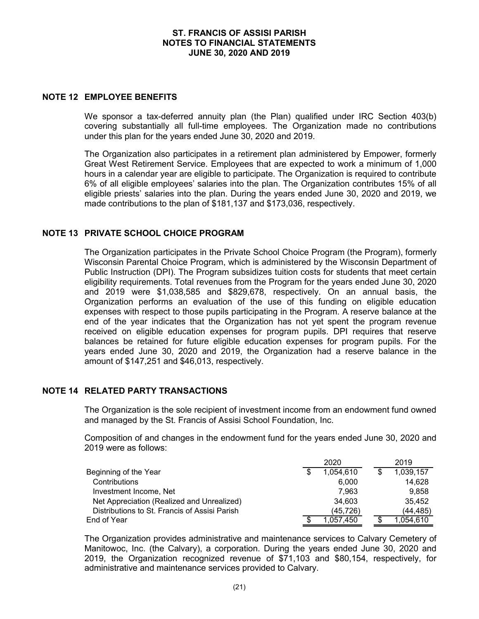#### **NOTE 12 EMPLOYEE BENEFITS**

We sponsor a tax-deferred annuity plan (the Plan) qualified under IRC Section 403(b) covering substantially all full-time employees. The Organization made no contributions under this plan for the years ended June 30, 2020 and 2019.

The Organization also participates in a retirement plan administered by Empower, formerly Great West Retirement Service. Employees that are expected to work a minimum of 1,000 hours in a calendar year are eligible to participate. The Organization is required to contribute 6% of all eligible employees' salaries into the plan. The Organization contributes 15% of all eligible priests' salaries into the plan. During the years ended June 30, 2020 and 2019, we made contributions to the plan of \$181,137 and \$173,036, respectively.

### **NOTE 13 PRIVATE SCHOOL CHOICE PROGRAM**

The Organization participates in the Private School Choice Program (the Program), formerly Wisconsin Parental Choice Program, which is administered by the Wisconsin Department of Public Instruction (DPI). The Program subsidizes tuition costs for students that meet certain eligibility requirements. Total revenues from the Program for the years ended June 30, 2020 and 2019 were \$1,038,585 and \$829,678, respectively. On an annual basis, the Organization performs an evaluation of the use of this funding on eligible education expenses with respect to those pupils participating in the Program. A reserve balance at the end of the year indicates that the Organization has not yet spent the program revenue received on eligible education expenses for program pupils. DPI requires that reserve balances be retained for future eligible education expenses for program pupils. For the years ended June 30, 2020 and 2019, the Organization had a reserve balance in the amount of \$147,251 and \$46,013, respectively.

## **NOTE 14 RELATED PARTY TRANSACTIONS**

The Organization is the sole recipient of investment income from an endowment fund owned and managed by the St. Francis of Assisi School Foundation, Inc.

Composition of and changes in the endowment fund for the years ended June 30, 2020 and 2019 were as follows:

|                                               | 2020      | 2019      |
|-----------------------------------------------|-----------|-----------|
| Beginning of the Year                         | 1.054.610 | 1,039,157 |
| Contributions                                 | 6.000     | 14,628    |
| Investment Income, Net                        | 7.963     | 9.858     |
| Net Appreciation (Realized and Unrealized)    | 34.603    | 35.452    |
| Distributions to St. Francis of Assisi Parish | (45.726)  | (44.485)  |
| End of Year                                   | 1,057,450 | 1,054,610 |

The Organization provides administrative and maintenance services to Calvary Cemetery of Manitowoc, Inc. (the Calvary), a corporation. During the years ended June 30, 2020 and 2019, the Organization recognized revenue of \$71,103 and \$80,154, respectively, for administrative and maintenance services provided to Calvary.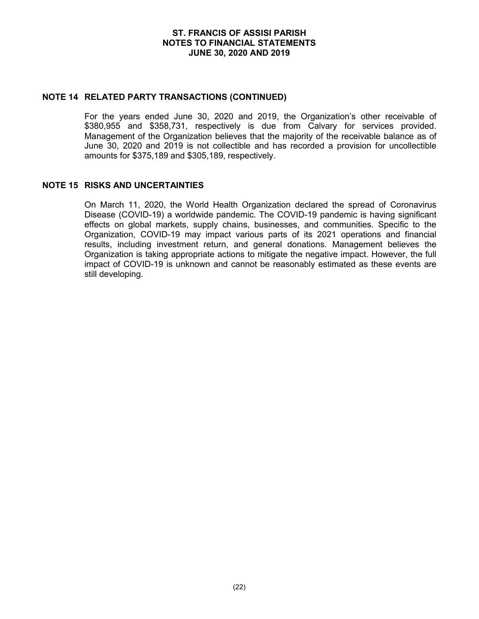### **NOTE 14 RELATED PARTY TRANSACTIONS (CONTINUED)**

For the years ended June 30, 2020 and 2019, the Organization's other receivable of \$380,955 and \$358,731, respectively is due from Calvary for services provided. Management of the Organization believes that the majority of the receivable balance as of June 30, 2020 and 2019 is not collectible and has recorded a provision for uncollectible amounts for \$375,189 and \$305,189, respectively.

#### **NOTE 15 RISKS AND UNCERTAINTIES**

On March 11, 2020, the World Health Organization declared the spread of Coronavirus Disease (COVID-19) a worldwide pandemic. The COVID-19 pandemic is having significant effects on global markets, supply chains, businesses, and communities. Specific to the Organization, COVID-19 may impact various parts of its 2021 operations and financial results, including investment return, and general donations. Management believes the Organization is taking appropriate actions to mitigate the negative impact. However, the full impact of COVID-19 is unknown and cannot be reasonably estimated as these events are still developing.